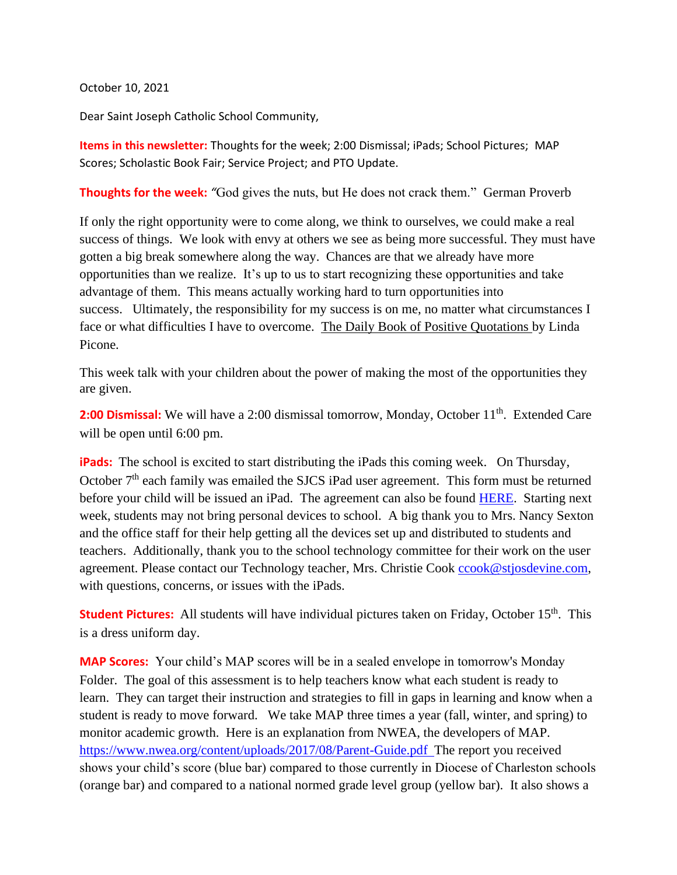October 10, 2021

Dear Saint Joseph Catholic School Community,

**Items in this newsletter:** Thoughts for the week; 2:00 Dismissal; iPads; School Pictures; MAP Scores; Scholastic Book Fair; Service Project; and PTO Update.

**Thoughts for the week:** "God gives the nuts, but He does not crack them." German Proverb

If only the right opportunity were to come along, we think to ourselves, we could make a real success of things. We look with envy at others we see as being more successful. They must have gotten a big break somewhere along the way. Chances are that we already have more opportunities than we realize. It's up to us to start recognizing these opportunities and take advantage of them. This means actually working hard to turn opportunities into success. Ultimately, the responsibility for my success is on me, no matter what circumstances I face or what difficulties I have to overcome. The Daily Book of Positive Quotations by Linda Picone.

This week talk with your children about the power of making the most of the opportunities they are given.

**2:00 Dismissal:** We will have a 2:00 dismissal tomorrow, Monday, October 11<sup>th</sup>. Extended Care will be open until 6:00 pm.

**iPads:** The school is excited to start distributing the iPads this coming week. On Thursday, October  $7<sup>th</sup>$  each family was emailed the SJCS iPad user agreement. This form must be returned before your child will be issued an iPad. The agreement can also be found [HERE.](https://8031f793-3c69-48a4-b7ad-fa51d1caa95c.usrfiles.com/ugd/8031f7_6556e19253084199a54f02f16461361b.pdf) Starting next week, students may not bring personal devices to school. A big thank you to Mrs. Nancy Sexton and the office staff for their help getting all the devices set up and distributed to students and teachers. Additionally, thank you to the school technology committee for their work on the user agreement. Please contact our Technology teacher, Mrs. Christie Cook [ccook@stjosdevine.com,](mailto:ccook@stjosdevine.com) with questions, concerns, or issues with the iPads.

**Student Pictures:** All students will have individual pictures taken on Friday, October 15<sup>th</sup>. This is a dress uniform day.

**MAP Scores:** Your child's MAP scores will be in a sealed envelope in tomorrow's Monday Folder. The goal of this assessment is to help teachers know what each student is ready to learn. They can target their instruction and strategies to fill in gaps in learning and know when a student is ready to move forward. We take MAP three times a year (fall, winter, and spring) to monitor academic growth. Here is an explanation from NWEA, the developers of MAP. <https://www.nwea.org/content/uploads/2017/08/Parent-Guide.pdf>The report you received shows your child's score (blue bar) compared to those currently in Diocese of Charleston schools (orange bar) and compared to a national normed grade level group (yellow bar). It also shows a